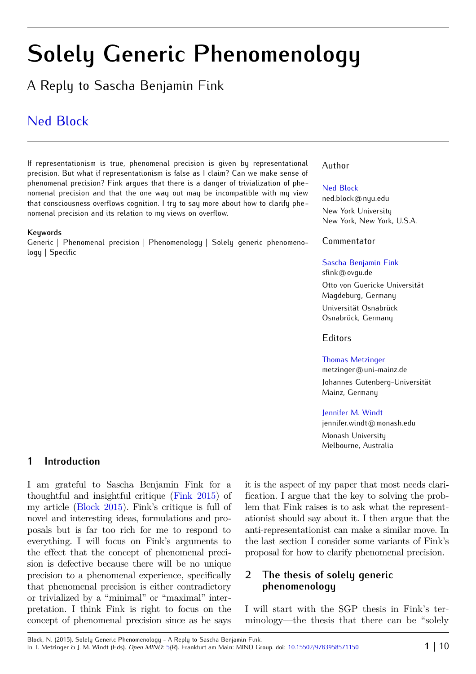# **Solely Generic Phenomenology**

A Reply to Sascha Benjamin Fink

# [Ned Block](http://www.open-mind.net/showAuthor?author=Ned_Block)

If representationism is true, phenomenal precision is given by representational precision. But what if representationism is false as I claim? Can we make sense of phenomenal precision? Fink argues that there is a danger of trivialization of phenomenal precision and that the one way out may be incompatible with my view that consciousness overflows cognition. I try to say more about how to clarify phenomenal precision and its relation to my views on overflow.

#### **Keywords**

Generic | Phenomenal precision | Phenomenology | Solely generic phenomenology | Specific

### Author

#### [Ned Block](http://www.open-mind.net/showAuthor?author=Ned_Block)

ned.block@nyu.edu     New York University New York, New York, U.S.A.

Commentator

#### [Sascha Benjamin Fink](http://www.open-mind.net/showAuthor?author=SaschaB_Fink)

sfink@ovgu.de     Otto von Guericke Universität Magdeburg, Germany Universität Osnabrück Osnabrück, Germany

#### Editors

[Thomas Metzinger](http://www.open-mind.net/showAuthor?author=Thomas_Metzinger)

metzinger@uni-mainz.de     Johannes Gutenberg-Universität Mainz, Germany

[Jennifer M. Windt](http://www.open-mind.net/showAuthor?author=JenniferM_Windt)

jennifer.windt@monash.edu     Monash University Melbourne, Australia

## **1 Introduction**

I am grateful to Sascha Benjamin Fink for a thoughtful and insightful critique [\(Fink](#page-8-1) [2015\)](#page-8-1) of my article [\(Block](#page-8-0) [2015\)](#page-8-0). Fink's critique is full of novel and interesting ideas, formulations and proposals but is far too rich for me to respond to everything. I will focus on Fink's arguments to the effect that the concept of phenomenal precision is defective because there will be no unique precision to a phenomenal experience, specifically that phenomenal precision is either contradictory or trivialized by a "minimal" or "maximal" interpretation. I think Fink is right to focus on the concept of phenomenal precision since as he says it is the aspect of my paper that most needs clarification. I argue that the key to solving the problem that Fink raises is to ask what the representationist should say about it. I then argue that the anti-representationist can make a similar move. In the last section I consider some variants of Fink's proposal for how to clarify phenomenal precision.

# **2 The thesis of solely generic phenomenology**

I will start with the SGP thesis in Fink's terminology—the thesis that there can be "solely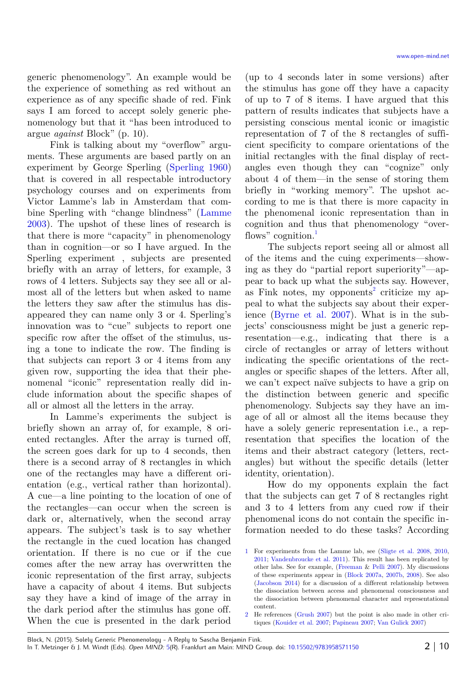generic phenomenology". An example would be the experience of something as red without an experience as of any specific shade of red. Fink says I am forced to accept solely generic phenomenology but that it "has been introduced to argue *against* Block" (p. 10).

Fink is talking about my "overflow" arguments. These arguments are based partly on an experiment by George Sperling [\(Sperling](#page-9-4) [1960\)](#page-9-4) that is covered in all respectable introductory psychology courses and on experiments from Victor Lamme's lab in Amsterdam that combine Sperling with "change blindness" ([Lamme](#page-8-12) [2003\)](#page-8-12). The upshot of these lines of research is that there is more "capacity" in phenomenology than in cognition—or so I have argued. In the Sperling experiment , subjects are presented briefly with an array of letters, for example, 3 rows of 4 letters. Subjects say they see all or almost all of the letters but when asked to name the letters they saw after the stimulus has disappeared they can name only 3 or 4. Sperling's innovation was to "cue" subjects to report one specific row after the offset of the stimulus, using a tone to indicate the row. The finding is that subjects can report 3 or 4 items from any given row, supporting the idea that their phenomenal "iconic" representation really did include information about the specific shapes of all or almost all the letters in the array.

In Lamme's experiments the subject is briefly shown an array of, for example, 8 oriented rectangles. After the array is turned off, the screen goes dark for up to 4 seconds, then there is a second array of 8 rectangles in which one of the rectangles may have a different orientation (e.g., vertical rather than horizontal). A cue—a line pointing to the location of one of the rectangles—can occur when the screen is dark or, alternatively, when the second array appears. The subject's task is to say whether the rectangle in the cued location has changed orientation. If there is no cue or if the cue comes after the new array has overwritten the iconic representation of the first array, subjects have a capacity of about 4 items. But subjects say they have a kind of image of the array in the dark period after the stimulus has gone off. When the cue is presented in the dark period

(up to 4 seconds later in some versions) after the stimulus has gone off they have a capacity of up to 7 of 8 items. I have argued that this pattern of results indicates that subjects have a persisting conscious mental iconic or imagistic representation of 7 of the 8 rectangles of sufficient specificity to compare orientations of the initial rectangles with the final display of rectangles even though they can "cognize" only about 4 of them—in the sense of storing them briefly in "working memory". The upshot according to me is that there is more capacity in the phenomenal iconic representation than in cognition and thus that phenomenology "over-flows" cognition.<sup>[1](#page-1-0)</sup>

The subjects report seeing all or almost all of the items and the cuing experiments—showing as they do "partial report superiority"—appear to back up what the subjects say. However, as Fink notes, my opponents<sup>[2](#page-1-1)</sup> criticize my appeal to what the subjects say about their experience [\(Byrne et al.](#page-8-11) [2007\)](#page-8-11). What is in the subjects' consciousness might be just a generic representation—e.g., indicating that there is a circle of rectangles or array of letters without indicating the specific orientations of the rectangles or specific shapes of the letters. After all, we can't expect naïve subjects to have a grip on the distinction between generic and specific phenomenology. Subjects say they have an image of all or almost all the items because they have a solely generic representation i.e., a representation that specifies the location of the items and their abstract category (letters, rectangles) but without the specific details (letter identity, orientation).

How do my opponents explain the fact that the subjects can get 7 of 8 rectangles right and 3 to 4 letters from any cued row if their phenomenal icons do not contain the specific information needed to do these tasks? According

<span id="page-1-1"></span>2 He references [\(Grush](#page-8-4) [2007\)](#page-8-4) but the point is also made in other critiques [\(Kouider et al.](#page-8-3) [2007;](#page-8-3) [Papineau](#page-8-2) [2007;](#page-8-2) [Van Gulick](#page-9-0) [2007\)](#page-9-0)

<span id="page-1-0"></span><sup>1</sup> For experiments from the Lamme lab, see [\(Sligte et al.](#page-8-10) [2008,](#page-8-10) [2010,](#page-9-3) [2011;](#page-9-2) [Vandenbroucke et al.](#page-9-1) [2011\)](#page-9-1). This result has been replicated by other labs. See for example, [\(Freeman](#page-8-9) & [Pelli](#page-8-9) [2007\)](#page-8-9). My discussions of these experiments appear in [\(Block](#page-8-8) [2007a,](#page-8-8) [2007b,](#page-8-7) [2008\)](#page-8-6). See also [\(Jacobson](#page-8-5) [2014\)](#page-8-5) for a discussion of a different relationship between the dissociation between access and phenomenal consciousness and the dissociation between phenomenal character and representational content.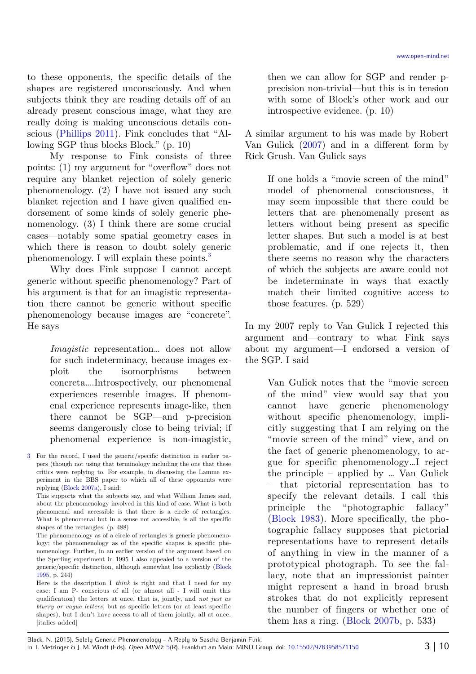to these opponents, the specific details of the shapes are registered unconsciously. And when subjects think they are reading details off of an already present conscious image, what they are really doing is making unconscious details conscious [\(Phillips](#page-8-14) [2011\)](#page-8-14). Fink concludes that "Allowing SGP thus blocks Block." (p. 10)

My response to Fink consists of three points: (1) my argument for "overflow" does not require any blanket rejection of solely generic phenomenology. (2) I have not issued any such blanket rejection and I have given qualified endorsement of some kinds of solely generic phenomenology. (3) I think there are some crucial cases—notably some spatial geometry cases in which there is reason to doubt solely generic phenomenology. I will explain these points.<sup>[3](#page-2-0)</sup>

Why does Fink suppose I cannot accept generic without specific phenomenology? Part of his argument is that for an imagistic representation there cannot be generic without specific phenomenology because images are "concrete". He says

> *Imagistic* representation… does not allow for such indeterminacy, because images exploit the isomorphisms between concreta….Introspectively, our phenomenal experiences resemble images. If phenomenal experience represents image-like, then there cannot be SGP—and p-precision seems dangerously close to being trivial; if phenomenal experience is non-imagistic,

This supports what the subjects say, and what William James said, about the phenomenology involved in this kind of case. What is both phenomenal and accessible is that there is a circle of rectangles. What is phenomenal but in a sense not accessible, is all the specific shapes of the rectangles. (p. 488)

The phenomenology as of a circle of rectangles is generic phenomenology; the phenomenology as of the specific shapes is specific phenomenology. Further, in an earlier version of the argument based on the Sperling experiment in 1995 I also appealed to a version of the generic/specific distinction, although somewhat less explicitly [\(Block](#page-8-13) [1995,](#page-8-13) p. 244)

Here is the description I *think* is right and that I need for my case: I am P- conscious of all (or almost all - I will omit this qualification) the letters at once, that is, jointly, and *not just as blurry or vague letters*, but as specific letters (or at least specific shapes), but I don't have access to all of them jointly, all at once. [italics added]

then we can allow for SGP and render pprecision non-trivial—but this is in tension with some of Block's other work and our introspective evidence. (p. 10)

A similar argument to his was made by Robert Van Gulick [\(2007\)](#page-9-0) and in a different form by Rick Grush. Van Gulick says

If one holds a "movie screen of the mind" model of phenomenal consciousness, it may seem impossible that there could be letters that are phenomenally present as letters without being present as specific letter shapes. But such a model is at best problematic, and if one rejects it, then there seems no reason why the characters of which the subjects are aware could not be indeterminate in ways that exactly match their limited cognitive access to those features. (p. 529)

In my 2007 reply to Van Gulick I rejected this argument and—contrary to what Fink says about my argument—I endorsed a version of the SGP. I said

> Van Gulick notes that the "movie screen of the mind" view would say that you cannot have generic phenomenology without specific phenomenology, implicitly suggesting that I am relying on the "movie screen of the mind" view, and on the fact of generic phenomenology, to argue for specific phenomenology…I reject the principle – applied by … Van Gulick – that pictorial representation has to specify the relevant details. I call this principle the "photographic fallacy" [\(Block](#page-8-15) [1983\)](#page-8-15). More specifically, the photographic fallacy supposes that pictorial representations have to represent details of anything in view in the manner of a prototypical photograph. To see the fallacy, note that an impressionist painter might represent a hand in broad brush strokes that do not explicitly represent the number of fingers or whether one of them has a ring. [\(Block](#page-8-7) [2007b,](#page-8-7) p. 533)

<span id="page-2-0"></span><sup>3</sup> For the record, I used the generic/specific distinction in earlier papers (though not using that terminology including the one that these critics were replying to. For example, in discussing the Lamme experiment in the BBS paper to which all of these opponents were replying [\(Block](#page-8-8) [2007a\)](#page-8-8), I said: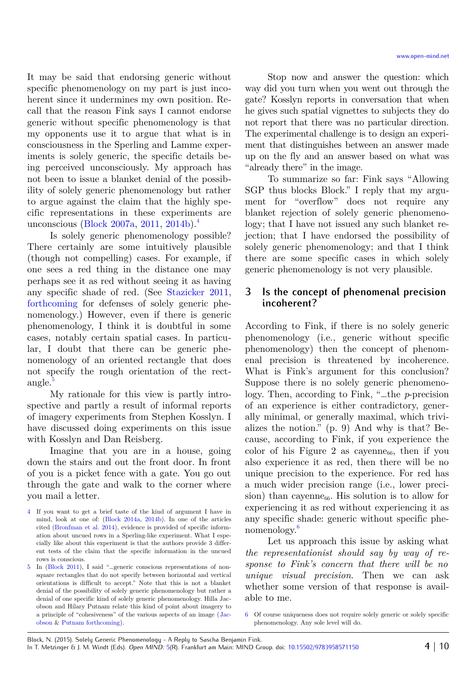It may be said that endorsing generic without specific phenomenology on my part is just incoherent since it undermines my own position. Recall that the reason Fink says I cannot endorse generic without specific phenomenology is that my opponents use it to argue that what is in consciousness in the Sperling and Lamme experiments is solely generic, the specific details being perceived unconsciously. My approach has not been to issue a blanket denial of the possibility of solely generic phenomenology but rather to argue against the claim that the highly specific representations in these experiments are unconscious [\(Block](#page-8-8) [2007a,](#page-8-8) [2011,](#page-8-20) [2014b\)](#page-8-17).[4](#page-3-0)

Is solely generic phenomenology possible? There certainly are some intuitively plausible (though not compelling) cases. For example, if one sees a red thing in the distance one may perhaps see it as red without seeing it as having any specific shade of red. (See [Stazicker](#page-9-6) [2011,](#page-9-6) [forthcoming](#page-9-5) for defenses of solely generic phenomenology.) However, even if there is generic phenomenology, I think it is doubtful in some cases, notably certain spatial cases. In particular, I doubt that there can be generic phenomenology of an oriented rectangle that does not specify the rough orientation of the rect-angle.<sup>[5](#page-3-1)</sup>

My rationale for this view is partly introspective and partly a result of informal reports of imagery experiments from Stephen Kosslyn. I have discussed doing experiments on this issue with Kosslyn and Dan Reisberg.

Imagine that you are in a house, going down the stairs and out the front door. In front of you is a picket fence with a gate. You go out through the gate and walk to the corner where you mail a letter.

Stop now and answer the question: which way did you turn when you went out through the gate? Kosslyn reports in conversation that when he gives such spatial vignettes to subjects they do not report that there was no particular direction. The experimental challenge is to design an experiment that distinguishes between an answer made up on the fly and an answer based on what was "already there" in the image.

To summarize so far: Fink says "Allowing SGP thus blocks Block." I reply that my argument for "overflow" does not require any blanket rejection of solely generic phenomenology; that I have not issued any such blanket rejection; that I have endorsed the possibility of solely generic phenomenology; and that I think there are some specific cases in which solely generic phenomenology is not very plausible.

# **3 Is the concept of phenomenal precision incoherent?**

According to Fink, if there is no solely generic phenomenology (i.e., generic without specific phenomenology) then the concept of phenomenal precision is threatened by incoherence. What is Fink's argument for this conclusion? Suppose there is no solely generic phenomenology. Then, according to Fink, "…the *p*-precision of an experience is either contradictory, generally minimal, or generally maximal, which trivializes the notion." (p. 9) And why is that? Because, according to Fink, if you experience the color of his Figure 2 as cayenne<sub>66</sub>, then if you also experience it as red, then there will be no unique precision to the experience. For red has a much wider precision range (i.e., lower precision) than cay enne<sub>66</sub>. His solution is to allow for experiencing it as red without experiencing it as any specific shade: generic without specific phenomenology.[6](#page-3-2)

Let us approach this issue by asking what *the representationist should say by way of response to Fink's concern that there will be no unique visual precision*. Then we can ask whether some version of that response is available to me.

<span id="page-3-0"></span><sup>4</sup> If you want to get a brief taste of the kind of argument I have in mind, look at one of: [\(Block](#page-8-18) [2014a,](#page-8-18) [2014b\)](#page-8-17). In one of the articles cited [\(Bronfman et al.](#page-8-16) [2014\)](#page-8-16), evidence is provided of specific information about uncued rows in a Sperling-like experiment. What I especially like about this experiment is that the authors provide 3 different tests of the claim that the specific information in the uncued rows is conscious.

<span id="page-3-1"></span><sup>5</sup> In [\(Block](#page-8-20) [2011\)](#page-8-20), I said "…generic conscious representations of nonsquare rectangles that do not specify between horizontal and vertical orientations is difficult to accept." Note that this is not a blanket denial of the possibility of solely generic phenomenology but rather a denial of one specific kind of solely generic phenomenology. Hilla Jacobson and Hilary Putnam relate this kind of point about imagery to a principle of "cohesiveness" of the various aspects of an image [\(Jac](#page-8-19)[obson](#page-8-19) & [Putnam](#page-8-19) [forthcoming\)](#page-8-19).

<span id="page-3-2"></span><sup>6</sup> Of course uniqueness does not require solely generic or solely specific phenomenology. Any sole level will do.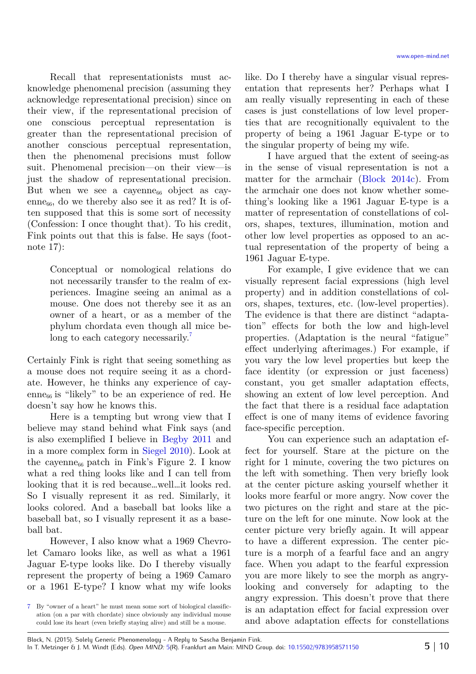Recall that representationists must acknowledge phenomenal precision (assuming they acknowledge representational precision) since on their view, if the representational precision of one conscious perceptual representation is greater than the representational precision of another conscious perceptual representation, then the phenomenal precisions must follow suit. Phenomenal precision—on their view—is just the shadow of representational precision. But when we see a cayenne<sub>66</sub> object as cayenne $_{66}$ , do we thereby also see it as red? It is often supposed that this is some sort of necessity (Confession: I once thought that). To his credit, Fink points out that this is false. He says (footnote 17):

> Conceptual or nomological relations do not necessarily transfer to the realm of experiences. Imagine seeing an animal as a mouse. One does not thereby see it as an owner of a heart, or as a member of the phylum chordata even though all mice be-long to each category necessarily.<sup>[7](#page-4-0)</sup>

Certainly Fink is right that seeing something as a mouse does not require seeing it as a chordate. However, he thinks any experience of cayenne<sub>66</sub> is "likely" to be an experience of red. He doesn't say how he knows this.

Here is a tempting but wrong view that I believe may stand behind what Fink says (and is also exemplified I believe in [Begby](#page-8-22) [2011](#page-8-22) and in a more complex form in [Siegel](#page-8-21) [2010\)](#page-8-21). Look at the cayenne $_{66}$  patch in Fink's Figure 2. I know what a red thing looks like and I can tell from looking that it is red because…well…it looks red. So I visually represent it as red. Similarly, it looks colored. And a baseball bat looks like a baseball bat, so I visually represent it as a baseball bat.

However, I also know what a 1969 Chevrolet Camaro looks like, as well as what a 1961 Jaguar E-type looks like. Do I thereby visually represent the property of being a 1969 Camaro or a 1961 E-type? I know what my wife looks like. Do I thereby have a singular visual representation that represents her? Perhaps what I am really visually representing in each of these cases is just constellations of low level properties that are recognitionally equivalent to the property of being a 1961 Jaguar E-type or to the singular property of being my wife.

I have argued that the extent of seeing-as in the sense of visual representation is not a matter for the armchair [\(Block](#page-8-23) [2014c\)](#page-8-23). From the armchair one does not know whether something's looking like a 1961 Jaguar E-type is a matter of representation of constellations of colors, shapes, textures, illumination, motion and other low level properties as opposed to an actual representation of the property of being a 1961 Jaguar E-type.

For example, I give evidence that we can visually represent facial expressions (high level property) and in addition constellations of colors, shapes, textures, etc. (low-level properties). The evidence is that there are distinct "adaptation" effects for both the low and high-level properties. (Adaptation is the neural "fatigue" effect underlying afterimages.) For example, if you vary the low level properties but keep the face identity (or expression or just faceness) constant, you get smaller adaptation effects, showing an extent of low level perception. And the fact that there is a residual face adaptation effect is one of many items of evidence favoring face-specific perception.

You can experience such an adaptation effect for yourself. Stare at the picture on the right for 1 minute, covering the two pictures on the left with something. Then very briefly look at the center picture asking yourself whether it looks more fearful or more angry. Now cover the two pictures on the right and stare at the picture on the left for one minute. Now look at the center picture very briefly again. It will appear to have a different expression. The center picture is a morph of a fearful face and an angry face. When you adapt to the fearful expression you are more likely to see the morph as angrylooking and conversely for adapting to the angry expression. This doesn't prove that there is an adaptation effect for facial expression over and above adaptation effects for constellations

<span id="page-4-0"></span><sup>7</sup> By "owner of a heart" he must mean some sort of biological classification (on a par with chordate) since obviously any individual mouse could lose its heart (even briefly staying alive) and still be a mouse.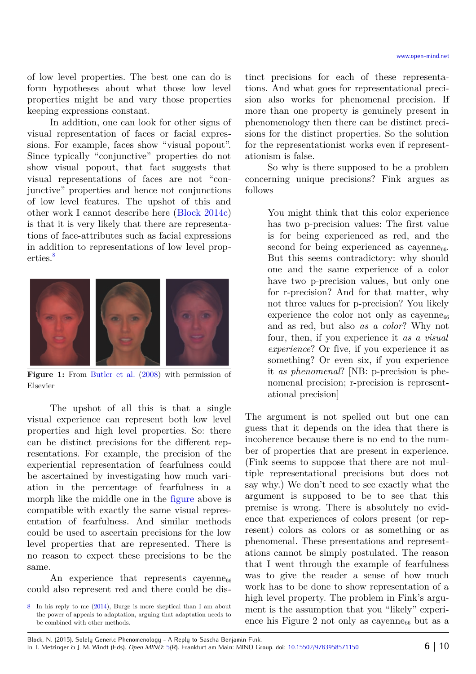of low level properties. The best one can do is form hypotheses about what those low level properties might be and vary those properties keeping expressions constant.

In addition, one can look for other signs of visual representation of faces or facial expressions. For example, faces show "visual popout". Since typically "conjunctive" properties do not show visual popout, that fact suggests that visual representations of faces are not "conjunctive" properties and hence not conjunctions of low level features. The upshot of this and other work I cannot describe here [\(Block](#page-8-23) [2014c\)](#page-8-23) is that it is very likely that there are representations of face-attributes such as facial expressions in addition to representations of low level prop-erties.<sup>[8](#page-5-1)</sup>



**Figure 1:** From [Butler](#page-8-25) [et al. \(2008\)](#page-8-25) with permission of Elsevier

<span id="page-5-0"></span>The upshot of all this is that a single visual experience can represent both low level properties and high level properties. So: there can be distinct precisions for the different representations. For example, the precision of the experiential representation of fearfulness could be ascertained by investigating how much variation in the percentage of fearfulness in a morph like the middle one in the [figure](#page-5-0) above is compatible with exactly the same visual representation of fearfulness. And similar methods could be used to ascertain precisions for the low level properties that are represented. There is no reason to expect these precisions to be the same.

An experience that represents cayenne<sub>66</sub> could also represent red and there could be distinct precisions for each of these representations. And what goes for representational precision also works for phenomenal precision. If more than one property is genuinely present in phenomenology then there can be distinct precisions for the distinct properties. So the solution for the representationist works even if representationism is false.

So why is there supposed to be a problem concerning unique precisions? Fink argues as follows

> You might think that this color experience has two p-precision values: The first value is for being experienced as red, and the second for being experienced as cayenne $_{66}$ . But this seems contradictory: why should one and the same experience of a color have two p-precision values, but only one for r-precision? And for that matter, why not three values for p-precision? You likely experience the color not only as cayenne $_{66}$ and as red, but also *as a color*? Why not four, then, if you experience it *as a visual experience*? Or five, if you experience it as something? Or even six, if you experience it *as phenomenal*? [NB: p-precision is phenomenal precision; r-precision is representational precision]

The argument is not spelled out but one can guess that it depends on the idea that there is incoherence because there is no end to the number of properties that are present in experience. (Fink seems to suppose that there are not multiple representational precisions but does not say why.) We don't need to see exactly what the argument is supposed to be to see that this premise is wrong. There is absolutely no evidence that experiences of colors present (or represent) colors as colors or as something or as phenomenal. These presentations and representations cannot be simply postulated. The reason that I went through the example of fearfulness was to give the reader a sense of how much work has to be done to show representation of a high level property. The problem in Fink's argument is the assumption that you "likely" experience his Figure 2 not only as cayonne<sub>66</sub> but as a

<span id="page-5-1"></span><sup>8</sup> In his reply to me [\(2014\)](#page-8-24), Burge is more skeptical than I am about the power of appeals to adaptation, arguing that adaptation needs to be combined with other methods.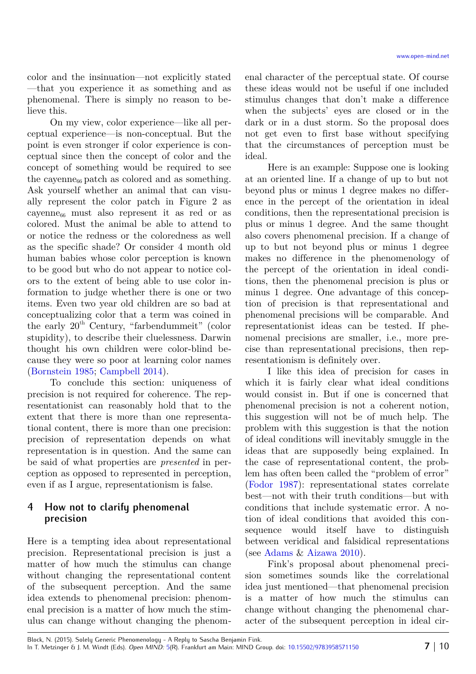color and the insinuation—not explicitly stated —that you experience it as something and as phenomenal. There is simply no reason to believe this.

On my view, color experience—like all perceptual experience—is non-conceptual. But the point is even stronger if color experience is conceptual since then the concept of color and the concept of something would be required to see the cayenne<sub>66</sub> patch as colored and as something. Ask yourself whether an animal that can visually represent the color patch in Figure 2 as cayenne<sub>66</sub> must also represent it as red or as colored. Must the animal be able to attend to or notice the redness or the coloredness as well as the specific shade? Or consider 4 month old human babies whose color perception is known to be good but who do not appear to notice colors to the extent of being able to use color information to judge whether there is one or two items. Even two year old children are so bad at conceptualizing color that a term was coined in the early  $20<sup>th</sup>$  Century, "farbendummeit" (color stupidity), to describe their cluelessness. Darwin thought his own children were color-blind because they were so poor at learning color names [\(Bornstein](#page-8-27) [1985;](#page-8-27) [Campbell](#page-8-26) [2014\)](#page-8-26).

To conclude this section: uniqueness of precision is not required for coherence. The representationist can reasonably hold that to the extent that there is more than one representational content, there is more than one precision: precision of representation depends on what representation is in question. And the same can be said of what properties are *presented* in perception as opposed to represented in perception, even if as I argue, representationism is false.

# **4 How not to clarify phenomenal precision**

Here is a tempting idea about representational precision. Representational precision is just a matter of how much the stimulus can change without changing the representational content of the subsequent perception. And the same idea extends to phenomenal precision: phenomenal precision is a matter of how much the stimulus can change without changing the phenomenal character of the perceptual state. Of course these ideas would not be useful if one included stimulus changes that don't make a difference when the subjects' eyes are closed or in the dark or in a dust storm. So the proposal does not get even to first base without specifying that the circumstances of perception must be ideal.

Here is an example: Suppose one is looking at an oriented line. If a change of up to but not beyond plus or minus 1 degree makes no difference in the percept of the orientation in ideal conditions, then the representational precision is plus or minus 1 degree. And the same thought also covers phenomenal precision. If a change of up to but not beyond plus or minus 1 degree makes no difference in the phenomenology of the percept of the orientation in ideal conditions, then the phenomenal precision is plus or minus 1 degree. One advantage of this conception of precision is that representational and phenomenal precisions will be comparable. And representationist ideas can be tested. If phenomenal precisions are smaller, i.e., more precise than representational precisions, then representationism is definitely over.

I like this idea of precision for cases in which it is fairly clear what ideal conditions would consist in. But if one is concerned that phenomenal precision is not a coherent notion, this suggestion will not be of much help. The problem with this suggestion is that the notion of ideal conditions will inevitably smuggle in the ideas that are supposedly being explained. In the case of representational content, the problem has often been called the "problem of error" [\(Fodor](#page-8-29) [1987\)](#page-8-29): representational states correlate best—not with their truth conditions—but with conditions that include systematic error. A notion of ideal conditions that avoided this consequence would itself have to distinguish between veridical and falsidical representations (see [Adams](#page-8-28) & [Aizawa](#page-8-28) [2010\)](#page-8-28).

Fink's proposal about phenomenal precision sometimes sounds like the correlational idea just mentioned—that phenomenal precision is a matter of how much the stimulus can change without changing the phenomenal character of the subsequent perception in ideal cir-

Block, N. (2015). Solely Generic Phenomenology - A Reply to Sascha Benjamin Fink. In T. Metzinger & J. M. Windt (Eds). *Open MIND:* [5\(](http://www.open-mind.net/papers/@@chapters?nr=5)R). Frankfurt am Main: MIND Group. doi: [10.15502/9783958571150](http://dx.doi.org/10.15502/9783958571150) **7** | 10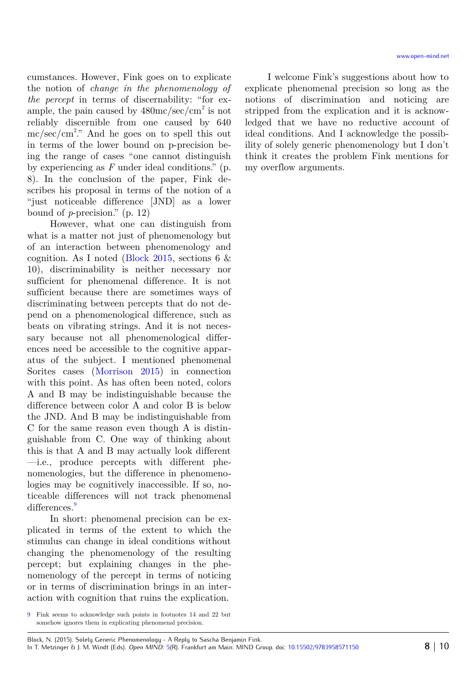cumstances. However, Fink goes on to explicate the notion of *change in the phenomenology of the percept* in terms of discernability: "for example, the pain caused by  $480 \text{mc/sec/cm}^2$  is not reliably discernible from one caused by 640  $mc/sec/cm<sup>2</sup>$ ." And he goes on to spell this out in terms of the lower bound on p-precision being the range of cases "one cannot distinguish by experiencing as *F* under ideal conditions." (p. 8). In the conclusion of the paper, Fink describes his proposal in terms of the notion of a "just noticeable difference [JND] as a lower bound of *p*-precision." (p. 12)

However, what one can distinguish from what is a matter not just of phenomenology but of an interaction between phenomenology and cognition. As I noted [\(Block](#page-8-0) [2015,](#page-8-0) sections 6 & 10), discriminability is neither necessary nor sufficient for phenomenal difference. It is not sufficient because there are sometimes ways of discriminating between percepts that do not depend on a phenomenological difference, such as beats on vibrating strings. And it is not necessary because not all phenomenological differences need be accessible to the cognitive apparatus of the subject. I mentioned phenomenal Sorites cases [\(Morrison](#page-8-30) [2015\)](#page-8-30) in connection with this point. As has often been noted, colors A and B may be indistinguishable because the difference between color A and color B is below the JND. And B may be indistinguishable from C for the same reason even though A is distinguishable from C. One way of thinking about this is that A and B may actually look different —i.e., produce percepts with different phenomenologies, but the difference in phenomenologies may be cognitively inaccessible. If so, noticeable differences will not track phenomenal differences.<sup>[9](#page-7-0)</sup>

In short: phenomenal precision can be explicated in terms of the extent to which the stimulus can change in ideal conditions without changing the phenomenology of the resulting percept; but explaining changes in the phenomenology of the percept in terms of noticing or in terms of discrimination brings in an interaction with cognition that ruins the explication.

I welcome Fink's suggestions about how to explicate phenomenal precision so long as the notions of discrimination and noticing are stripped from the explication and it is acknowledged that we have no reductive account of ideal conditions. And I acknowledge the possibility of solely generic phenomenology but I don't think it creates the problem Fink mentions for my overflow arguments.

<span id="page-7-0"></span><sup>9</sup> Fink seems to acknowledge such points in footnotes 14 and 22 but somehow ignores them in explicating phenomenal precision.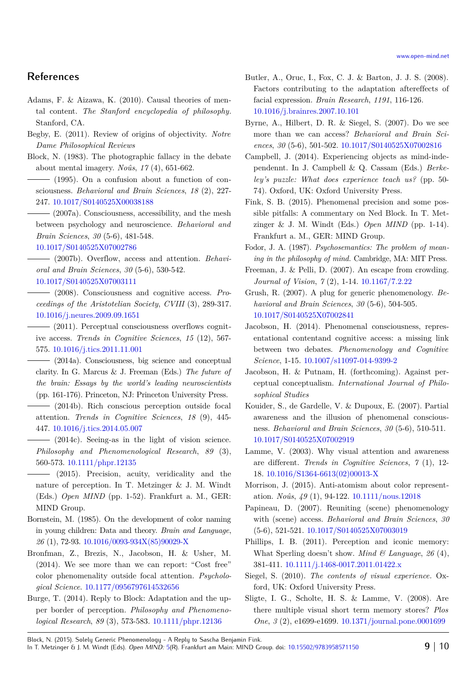# **References**

<span id="page-8-28"></span>Adams, F. & Aizawa, K. (2010). Causal theories of mental content. *The Stanford encyclopedia of philosophy*. Stanford, CA.

- <span id="page-8-22"></span>Begby, E. (2011). Review of origins of objectivity. *Notre Dame Philosophical Reviews*
- <span id="page-8-15"></span>Block, N. (1983). The photographic fallacy in the debate about mental imagery. *Noûs*, *17* (4), 651-662.

<span id="page-8-13"></span> $-$  (1995). On a confusion about a function of consciousness. *Behavioral and Brain Sciences*, *18* (2), 227- 247. [10.1017/S0140525X00038188](http://dx.doi.org/10.1017/S0140525X00038188)

<span id="page-8-8"></span> $-$  (2007a). Consciousness, accessibility, and the mesh between psychology and neuroscience. *Behavioral and Brain Sciences*, *30* (5-6), 481-548.

#### [10.1017/S0140525X07002786](http://dx.doi.org/10.1017/S0140525X07002786)

<span id="page-8-7"></span> (2007b). Overflow, access and attention. *Behavioral and Brain Sciences*, *30* (5-6), 530-542.

[10.1017/S0140525X07003111](http://dx.doi.org/10.1017/S0140525X07003111)

<span id="page-8-6"></span> (2008). Consciousness and cognitive access. *Proceedings of the Aristotelian Society*, *CVIII* (3), 289-317. [10.1016/j.neures.2009.09.1651](http://dx.doi.org/10.1016/j.neures.2009.09.1651)

<span id="page-8-20"></span> (2011). Perceptual consciousness overflows cognitive access. *Trends in Cognitive Sciences*, *15* (12), 567- 575. [10.1016/j.tics.2011.11.001](http://dx.doi.org/10.1016/j.tics.2011.11.001)

- <span id="page-8-18"></span>(2014a). Consciousness, big science and conceptual clarity. In G. Marcus & J. Freeman (Eds.) *The future of the brain: Essays by the world's leading neuroscientists* (pp. 161-176). Princeton, NJ: Princeton University Press.
- <span id="page-8-17"></span> $-$  (2014b). Rich conscious perception outside focal attention. *Trends in Cognitive Sciences*, *18* (9), 445- 447. [10.1016/j.tics.2014.05.007](http://dx.doi.org/10.1016/j.tics.2014.05.007)
- <span id="page-8-23"></span> $-$  (2014c). Seeing-as in the light of vision science. *Philosophy and Phenomenological Research*, *89* (3), 560-573. [10.1111/phpr.12135](http://dx.doi.org/10.1111/phpr.12135)
- <span id="page-8-0"></span>(2015). Precision, acuity, veridicality and the nature of perception. In T. Metzinger & J. M. Windt (Eds.) *Open MIND* (pp. 1-52). Frankfurt a. M., GER: MIND Group.
- <span id="page-8-27"></span>Bornstein, M. (1985). On the development of color naming in young children: Data and theory. *Brain and Language*, *26* (1), 72-93. [10.1016/0093-934X\(85\)90029-X](http://dx.doi.org/10.1016/0093-934X(85)90029-X)
- <span id="page-8-16"></span>Bronfman, Z., Brezis, N., Jacobson, H. & Usher, M. (2014). We see more than we can report: "Cost free" color phenomenality outside focal attention. *Psychological Science*. [10.1177/0956797614532656](http://dx.doi.org/10.1177/0956797614532656)
- <span id="page-8-24"></span>Burge, T. (2014). Reply to Block: Adaptation and the upper border of perception. *Philosophy and Phenomenological Research*, *89* (3), 573-583. [10.1111/phpr.12136](http://dx.doi.org/10.1111/phpr.12136)
- <span id="page-8-25"></span>Butler, A., Oruc, I., Fox, C. J. & Barton, J. J. S. (2008). Factors contributing to the adaptation aftereffects of facial expression. *Brain Research*, *1191*, 116-126. [10.1016/j.brainres.2007.10.101](http://dx.doi.org/10.1016/j.brainres.2007.10.101)
- <span id="page-8-11"></span>Byrne, A., Hilbert, D. R. & Siegel, S. (2007). Do we see more than we can access? *Behavioral and Brain Sciences*, *30* (5-6), 501-502. [10.1017/S0140525X07002816](http://dx.doi.org/10.1017/S0140525X07002816)
- <span id="page-8-26"></span>Campbell, J. (2014). Experiencing objects as mind-independennt. In J. Campbell & Q. Cassam (Eds.) *Berkeley's puzzle: What does experience teach us?* (pp. 50- 74). Oxford, UK: Oxford University Press.
- <span id="page-8-1"></span>Fink, S. B. (2015). Phenomenal precision and some possible pitfalls: A commentary on Ned Block. In T. Metzinger & J. M. Windt (Eds.) *Open MIND* (pp. 1-14). Frankfurt a. M., GER: MIND Group.
- <span id="page-8-29"></span>Fodor, J. A. (1987). *Psychosemantics: The problem of meaning in the philosophy of mind.* Cambridge, MA: MIT Press.
- <span id="page-8-9"></span>Freeman, J. & Pelli, D. (2007). An escape from crowding. *Journal of Vision*, *7* (2), 1-14. [10.1167/7.2.22](http://dx.doi.org/10.1167/7.2.22)
- <span id="page-8-4"></span>Grush, R. (2007). A plug for generic phenomenology. *Behavioral and Brain Sciences*, *30* (5-6), 504-505. [10.1017/S0140525X07002841](http://dx.doi.org/10.1017/S0140525X07002841)
- <span id="page-8-5"></span>Jacobson, H. (2014). Phenomenal consciousness, representational contentand cognitive access: a missing link between two debates. *Phenomenology and Cognitive Science*, 1-15. [10.1007/s11097-014-9399-2](http://dx.doi.org/10.1007/s11097-014-9399-2)
- <span id="page-8-19"></span>Jacobson, H. & Putnam, H. (forthcoming). Against perceptual conceptualism. *International Journal of Philosophical Studies*
- <span id="page-8-3"></span>Kouider, S., de Gardelle, V. & Dupoux, E. (2007). Partial awareness and the illusion of phenomenal consciousness. *Behavioral and Brain Sciences*, *30* (5-6), 510-511. [10.1017/S0140525X07002919](http://dx.doi.org/10.1017/S0140525X07002919)
- <span id="page-8-12"></span>Lamme, V. (2003). Why visual attention and awareness are different. *Trends in Cognitive Sciences*, *7* (1), 12- 18. [10.1016/S1364-6613\(02\)00013-X](http://dx.doi.org/10.1016/S1364-6613(02)00013-X)
- <span id="page-8-30"></span>Morrison, J. (2015). Anti-atomism about color representation. *Noûs*, *49* (1), 94-122. [10.1111/nous.12018](http://dx.doi.org/10.1111/nous.12018)
- <span id="page-8-2"></span>Papineau, D. (2007). Reuniting (scene) phenomenology with (scene) access. *Behavioral and Brain Sciences*, *30* (5-6), 521-521. [10.1017/S0140525X07003019](http://dx.doi.org/10.1017/S0140525X07003019)
- <span id="page-8-14"></span>Phillips, I. B. (2011). Perception and iconic memory: What Sperling doesn't show. *Mind & Language*, *26* (4), 381-411. [10.1111/j.1468-0017.2011.01422.x](http://dx.doi.org/10.1111/j.1468-0017.2011.01422.x)
- <span id="page-8-21"></span>Siegel, S. (2010). *The contents of visual experience.* Oxford, UK: Oxford University Press.
- <span id="page-8-10"></span>Sligte, I. G., Scholte, H. S. & Lamme, V. (2008). Are there multiple visual short term memory stores? *Plos One*, *3* (2), e1699-e1699. [10.1371/journal.pone.0001699](http://dx.doi.org/10.1371/journal.pone.0001699)

Block, N. (2015). Solely Generic Phenomenology - A Reply to Sascha Benjamin Fink. In T. Metzinger & J. M. Windt (Eds). *Open MIND:* [5\(](http://www.open-mind.net/papers/@@chapters?nr=5)R). Frankfurt am Main: MIND Group. doi: [10.15502/9783958571150](http://dx.doi.org/10.15502/9783958571150) **9** | 10